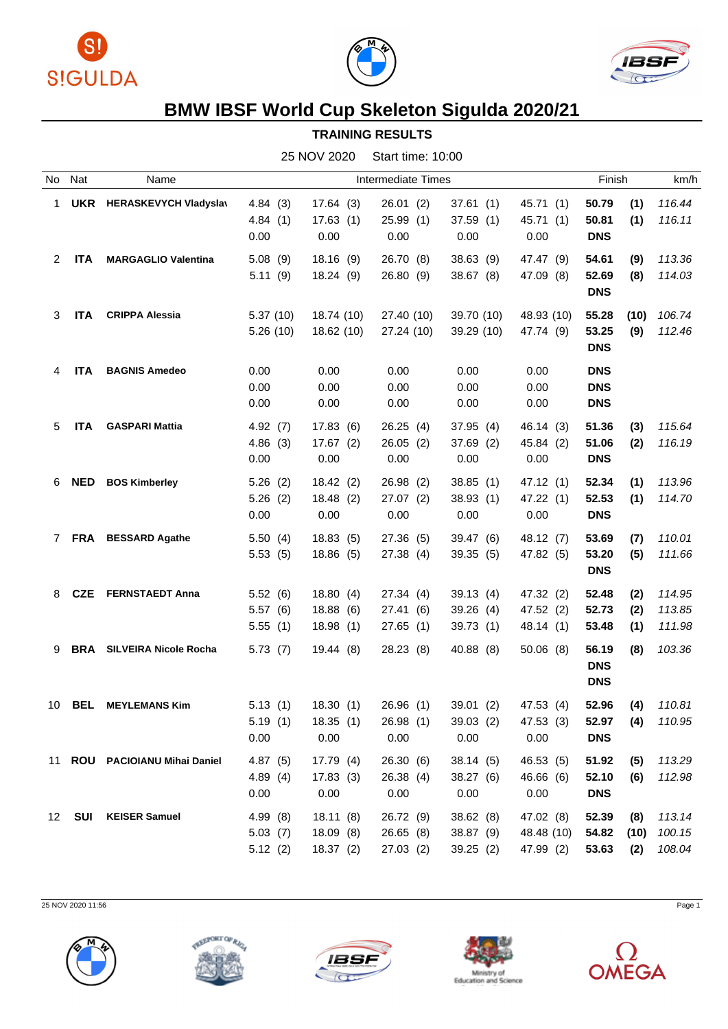





## **BMW IBSF World Cup Skeleton Sigulda 2020/21**

**TRAINING RESULTS**

25 NOV 2020 Start time: 10:00

| No          | Nat        | Name                             |          |            | Intermediate Times |            |            | Finish                   | km/h   |
|-------------|------------|----------------------------------|----------|------------|--------------------|------------|------------|--------------------------|--------|
| 1           | <b>UKR</b> | <b>HERASKEVYCH Vladyslav</b>     | 4.84(3)  | 17.64(3)   | 26.01(2)           | 37.61(1)   | 45.71(1)   | 50.79<br>(1)             | 116.44 |
|             |            |                                  | 4.84(1)  | 17.63(1)   | 25.99(1)           | 37.59(1)   | 45.71 (1)  | 50.81<br>(1)             | 116.11 |
|             |            |                                  | 0.00     | 0.00       | 0.00               | 0.00       | 0.00       | <b>DNS</b>               |        |
| 2           | <b>ITA</b> | <b>MARGAGLIO Valentina</b>       | 5.08(9)  | 18.16(9)   | 26.70 (8)          | 38.63 (9)  | 47.47 (9)  | 54.61<br>(9)             | 113.36 |
|             |            |                                  | 5.11(9)  | 18.24(9)   | 26.80(9)           | 38.67(8)   | 47.09 (8)  | 52.69<br>(8)             | 114.03 |
|             |            |                                  |          |            |                    |            |            | <b>DNS</b>               |        |
| 3           | <b>ITA</b> | <b>CRIPPA Alessia</b>            | 5.37(10) | 18.74 (10) | 27.40 (10)         | 39.70 (10) | 48.93 (10) | 55.28<br>(10)            | 106.74 |
|             |            |                                  | 5.26(10) | 18.62 (10) | 27.24 (10)         | 39.29 (10) | 47.74 (9)  | 53.25<br>(9)             | 112.46 |
|             |            |                                  |          |            |                    |            |            | <b>DNS</b>               |        |
|             |            |                                  |          |            |                    |            |            |                          |        |
| 4           | <b>ITA</b> | <b>BAGNIS Amedeo</b>             | 0.00     | 0.00       | 0.00               | 0.00       | 0.00       | <b>DNS</b>               |        |
|             |            |                                  | 0.00     | 0.00       | 0.00               | 0.00       | 0.00       | <b>DNS</b>               |        |
|             |            |                                  | 0.00     | 0.00       | 0.00               | 0.00       | 0.00       | <b>DNS</b>               |        |
| 5           | <b>ITA</b> | <b>GASPARI Mattia</b>            | 4.92(7)  | 17.83(6)   | 26.25(4)           | 37.95(4)   | 46.14 (3)  | 51.36<br>(3)             | 115.64 |
|             |            |                                  | 4.86(3)  | 17.67(2)   | 26.05(2)           | 37.69 (2)  | 45.84 (2)  | 51.06<br>(2)             | 116.19 |
|             |            |                                  | 0.00     | 0.00       | 0.00               | 0.00       | 0.00       | <b>DNS</b>               |        |
| 6           | <b>NED</b> | <b>BOS Kimberley</b>             | 5.26(2)  | 18.42(2)   | 26.98(2)           | 38.85(1)   | 47.12 (1)  | 52.34<br>(1)             | 113.96 |
|             |            |                                  | 5.26(2)  | 18.48(2)   | 27.07(2)           | 38.93(1)   | 47.22(1)   | 52.53<br>(1)             | 114.70 |
|             |            |                                  | 0.00     | 0.00       | 0.00               | 0.00       | 0.00       | <b>DNS</b>               |        |
| $7^{\circ}$ | <b>FRA</b> | <b>BESSARD Agathe</b>            | 5.50(4)  | 18.83(5)   | 27.36 (5)          | 39.47 (6)  | 48.12 (7)  | 53.69<br>(7)             | 110.01 |
|             |            |                                  | 5.53(5)  | 18.86(5)   | 27.38(4)           | 39.35(5)   | 47.82 (5)  | 53.20<br>(5)             | 111.66 |
|             |            |                                  |          |            |                    |            |            | <b>DNS</b>               |        |
| 8           | <b>CZE</b> | <b>FERNSTAEDT Anna</b>           | 5.52(6)  | 18.80(4)   | 27.34(4)           | 39.13(4)   | 47.32 (2)  | 52.48<br>(2)             | 114.95 |
|             |            |                                  | 5.57(6)  | 18.88(6)   | 27.41 (6)          | 39.26(4)   | 47.52 (2)  | 52.73<br>(2)             | 113.85 |
|             |            |                                  | 5.55(1)  | 18.98(1)   | 27.65(1)           | 39.73 (1)  | 48.14 (1)  | (1)<br>53.48             | 111.98 |
|             |            |                                  |          |            |                    |            |            |                          |        |
| 9           |            | <b>BRA</b> SILVEIRA Nicole Rocha | 5.73(7)  | 19.44(8)   | 28.23(8)           | 40.88 (8)  | 50.06(8)   | 56.19<br>(8)             | 103.36 |
|             |            |                                  |          |            |                    |            |            | <b>DNS</b><br><b>DNS</b> |        |
|             |            |                                  |          |            |                    |            |            |                          |        |
| 10          | <b>BEL</b> | <b>MEYLEMANS Kim</b>             | 5.13(1)  | 18.30(1)   | 26.96(1)           | 39.01(2)   | 47.53 (4)  | 52.96<br>(4)             | 110.81 |
|             |            |                                  | 5.19(1)  | 18.35(1)   | 26.98 (1)          | 39.03 (2)  | 47.53 (3)  | 52.97<br>(4)             | 110.95 |
|             |            |                                  | 0.00     | 0.00       | 0.00               | 0.00       | 0.00       | <b>DNS</b>               |        |
|             |            | 11 ROU PACIOIANU Mihai Daniel    | 4.87(5)  | 17.79(4)   | 26.30(6)           | 38.14(5)   | 46.53 (5)  | 51.92<br>(5)             | 113.29 |
|             |            |                                  | 4.89(4)  | 17.83(3)   | 26.38(4)           | 38.27 (6)  | 46.66 (6)  | 52.10<br>(6)             | 112.98 |
|             |            |                                  | 0.00     | 0.00       | 0.00               | 0.00       | 0.00       | <b>DNS</b>               |        |
| 12          | <b>SUI</b> | <b>KEISER Samuel</b>             | 4.99 (8) | 18.11(8)   | 26.72 (9)          | 38.62(8)   | 47.02 (8)  | 52.39<br>(8)             | 113.14 |
|             |            |                                  | 5.03(7)  | 18.09(8)   | 26.65(8)           | 38.87 (9)  | 48.48 (10) | 54.82<br>(10)            | 100.15 |
|             |            |                                  | 5.12(2)  | 18.37(2)   | 27.03(2)           | 39.25(2)   | 47.99 (2)  | 53.63<br>(2)             | 108.04 |
|             |            |                                  |          |            |                    |            |            |                          |        |

25 NOV 2020 11:56 Page 1